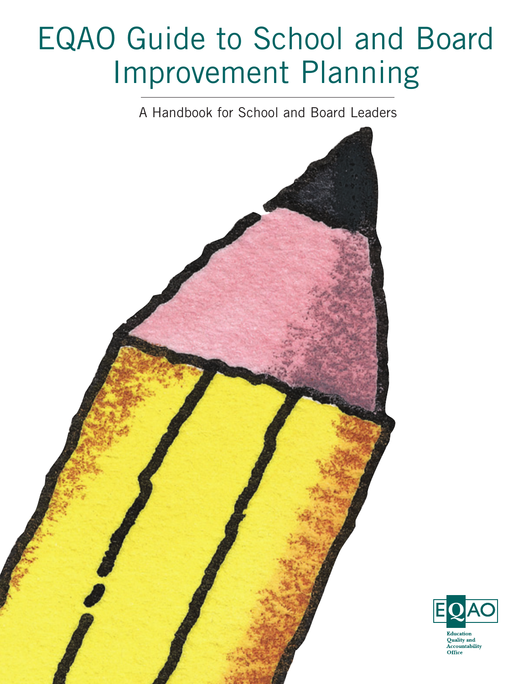# EQAO Guide to School and Board Improvement Planning

A Handbook for School and Board Leaders



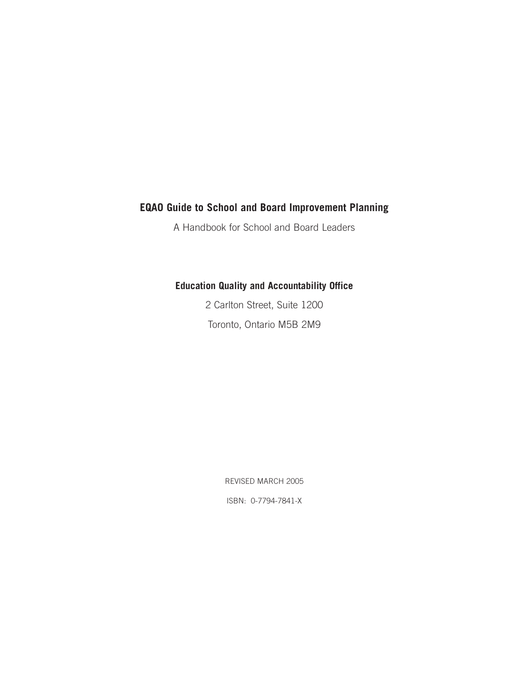#### **EQAO Guide to School and Board Improvement Planning**

A Handbook for School and Board Leaders

#### **Education Quality and Accountability Office**

2 Carlton Street, Suite 1200 Toronto, Ontario M5B 2M9

REVISED MARCH 2005

ISBN: 0-7794-7841-X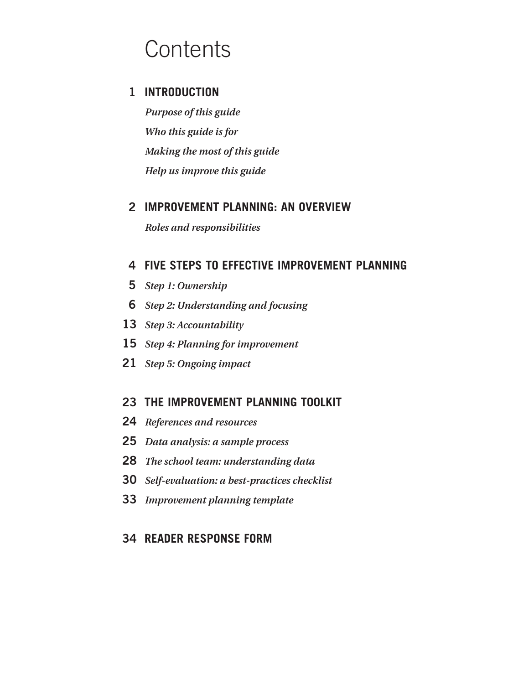# **Contents**

# **INTRODUCTION**

*Purpose of this guide Who this guide is for Making the most of this guide Help us improve this guide*

## **IMPROVEMENT PLANNING: AN OVERVIEW**

*Roles and responsibilities*

#### **FIVE STEPS TO EFFECTIVE IMPROVEMENT PLANNING**

- *Step 1: Ownership*
- *Step 2: Understanding and focusing*
- *Step 3: Accountability*
- *Step 4: Planning for improvement*
- *Step 5: Ongoing impact*

## **THE IMPROVEMENT PLANNING TOOLKIT**

- *References and resources*
- *Data analysis: a sample process*
- *The school team: understanding data*
- *Self-evaluation: a best-practices checklist*
- *Improvement planning template*

## **READER RESPONSE FORM**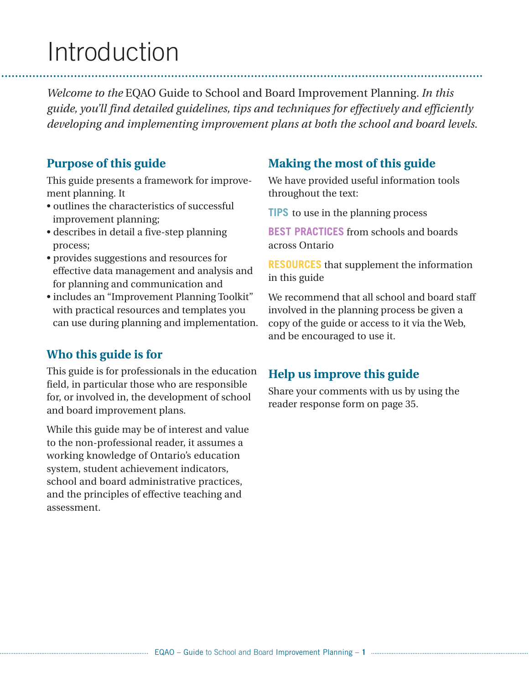# Introduction

*Welcome to the* EQAO Guide to School and Board Improvement Planning*. In this guide, you'll find detailed guidelines, tips and techniques for effectively and efficiently developing and implementing improvement plans at both the school and board levels.*

## **Purpose of this guide**

This guide presents a framework for improvement planning. It

- outlines the characteristics of successful improvement planning;
- describes in detail a five-step planning process;
- provides suggestions and resources for effective data management and analysis and for planning and communication and
- includes an "Improvement Planning Toolkit" with practical resources and templates you can use during planning and implementation.

# **Who this guide is for**

This guide is for professionals in the education field, in particular those who are responsible for, or involved in, the development of school and board improvement plans.

While this guide may be of interest and value to the non-professional reader, it assumes a working knowledge of Ontario's education system, student achievement indicators, school and board administrative practices, and the principles of effective teaching and assessment.

# **Making the most of this guide**

We have provided useful information tools throughout the text:

**TIPS** to use in the planning process

**BEST PRACTICES** from schools and boards across Ontario

**RESOURCES** that supplement the information in this guide

We recommend that all school and board staff involved in the planning process be given a copy of the guide or access to it via the Web, and be encouraged to use it.

# **Help us improve this guide**

Share your comments with us by using the reader response form on page 35.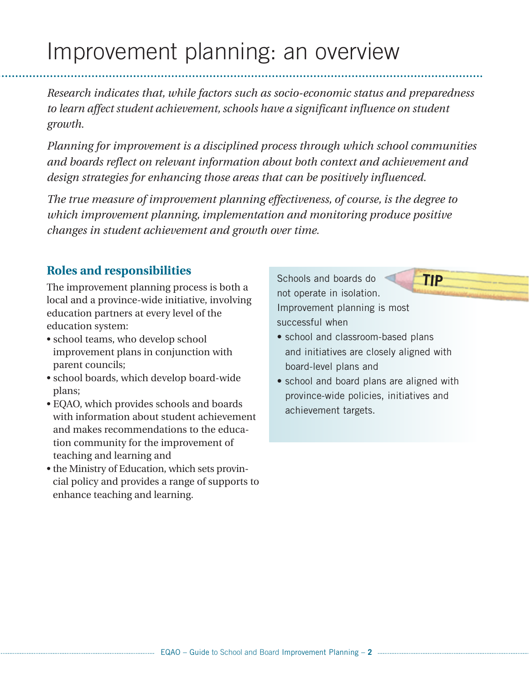# Improvement planning: an overview

*Research indicates that, while factors such as socio-economic status and preparedness to learn affect student achievement, schools have a significant influence on student growth.*

*Planning for improvement is a disciplined process through which school communities and boards reflect on relevant information about both context and achievement and design strategies for enhancing those areas that can be positively influenced.*

*The true measure of improvement planning effectiveness, of course, is the degree to which improvement planning, implementation and monitoring produce positive changes in student achievement and growth over time.*

# **Roles and responsibilities**

The improvement planning process is both a local and a province-wide initiative, involving education partners at every level of the education system:

- school teams, who develop school improvement plans in conjunction with parent councils;
- school boards, which develop board-wide plans;
- EQAO, which provides schools and boards with information about student achievement and makes recommendations to the education community for the improvement of teaching and learning and
- the Ministry of Education, which sets provincial policy and provides a range of supports to enhance teaching and learning.

Schools and boards do not operate in isolation. Improvement planning is most successful when

• school and classroom-based plans and initiatives are closely aligned with board-level plans and

**TIP**

• school and board plans are aligned with province-wide policies, initiatives and achievement targets.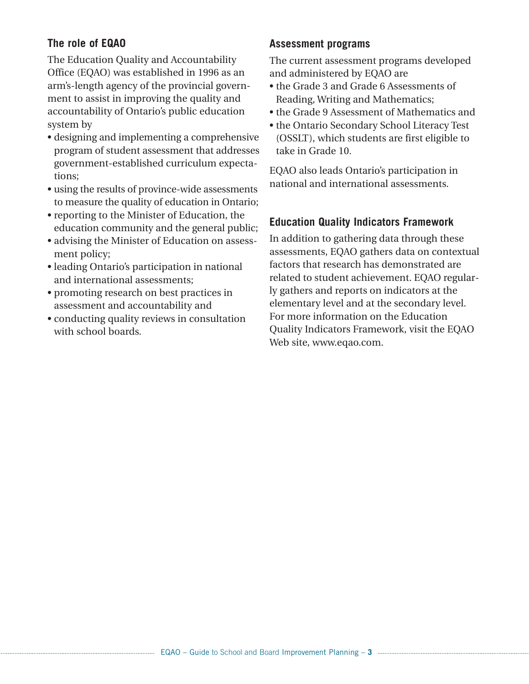#### **The role of EQAO**

The Education Quality and Accountability Office (EQAO) was established in 1996 as an arm's-length agency of the provincial government to assist in improving the quality and accountability of Ontario's public education system by

- designing and implementing a comprehensive program of student assessment that addresses government-established curriculum expectations;
- using the results of province-wide assessments to measure the quality of education in Ontario;
- reporting to the Minister of Education, the education community and the general public;
- advising the Minister of Education on assessment policy;
- leading Ontario's participation in national and international assessments;
- promoting research on best practices in assessment and accountability and
- conducting quality reviews in consultation with school boards.

#### **Assessment programs**

The current assessment programs developed and administered by EQAO are

- the Grade 3 and Grade 6 Assessments of Reading, Writing and Mathematics;
- the Grade 9 Assessment of Mathematics and
- the Ontario Secondary School Literacy Test (OSSLT), which students are first eligible to take in Grade 10.

EQAO also leads Ontario's participation in national and international assessments.

# **Education Quality Indicators Framework**

In addition to gathering data through these assessments, EQAO gathers data on contextual factors that research has demonstrated are related to student achievement. EQAO regularly gathers and reports on indicators at the elementary level and at the secondary level. For more information on the Education Quality Indicators Framework, visit the EQAO Web site, www.eqao.com.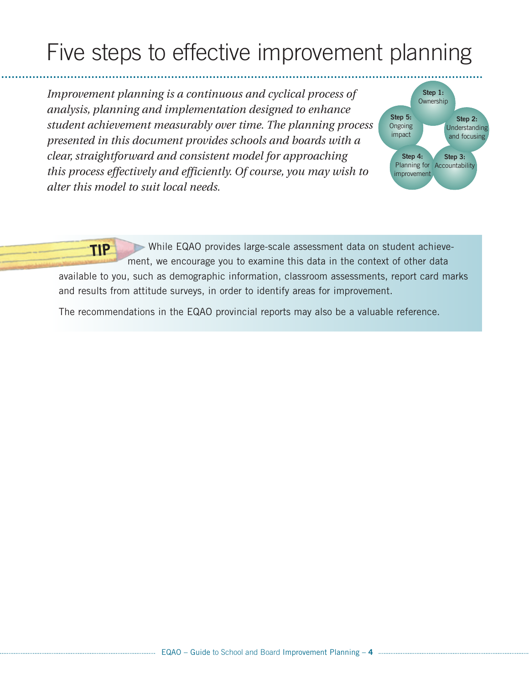# Five steps to effective improvement planning

*Improvement planning is a continuous and cyclical process of analysis, planning and implementation designed to enhance student achievement measurably over time. The planning process presented in this document provides schools and boards with a clear, straightforward and consistent model for approaching this process effectively and efficiently. Of course, you may wish to alter this model to suit local needs.*



While EQAO provides large-scale assessment data on student achievement, we encourage you to examine this data in the context of other data available to you, such as demographic information, classroom assessments, report card marks and results from attitude surveys, in order to identify areas for improvement. **TIP**

The recommendations in the EQAO provincial reports may also be a valuable reference.

. . . . . . . .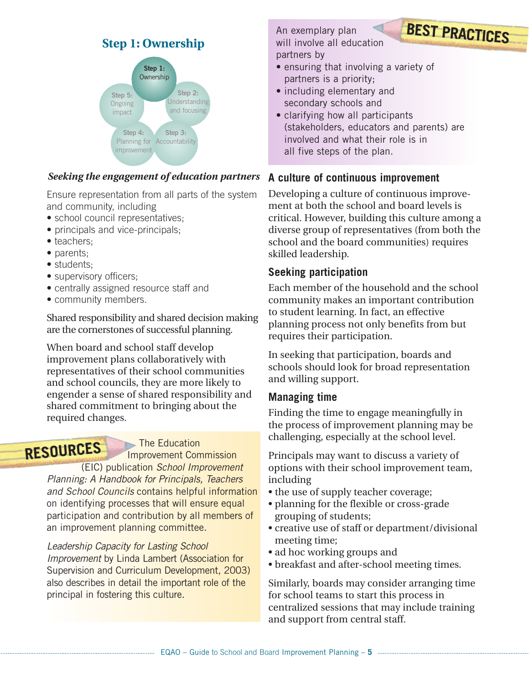# **Step 1: Ownership**



#### *Seeking the engagement of education partners*

Ensure representation from all parts of the system and community, including

- school council representatives;
- principals and vice-principals;
- teachers;
- parents:
- students;
- supervisory officers;
- centrally assigned resource staff and
- community members.

Shared responsibility and shared decision making are the cornerstones of successful planning.

When board and school staff develop improvement plans collaboratively with representatives of their school communities and school councils, they are more likely to engender a sense of shared responsibility and shared commitment to bringing about the required changes.

# **RESOURCES**

The Education

Improvement Commission (EIC) publication *School Improvement Planning: A Handbook for Principals, Teachers and School Councils* contains helpful information on identifying processes that will ensure equal participation and contribution by all members of an improvement planning committee.

*Leadership Capacity for Lasting School Improvement* by Linda Lambert (Association for Supervision and Curriculum Development, 2003) also describes in detail the important role of the principal in fostering this culture.

An exemplary plan will involve all education partners by

- ensuring that involving a variety of partners is a priority;
- including elementary and secondary schools and
- clarifying how all participants (stakeholders, educators and parents) are involved and what their role is in all five steps of the plan.

**BEST PRACTICES**

#### **A culture of continuous improvement**

Developing a culture of continuous improvement at both the school and board levels is critical. However, building this culture among a diverse group of representatives (from both the school and the board communities) requires skilled leadership.

#### **Seeking participation**

Each member of the household and the school community makes an important contribution to student learning. In fact, an effective planning process not only benefits from but requires their participation.

In seeking that participation, boards and schools should look for broad representation and willing support.

#### **Managing time**

Finding the time to engage meaningfully in the process of improvement planning may be challenging, especially at the school level.

Principals may want to discuss a variety of options with their school improvement team, including

- the use of supply teacher coverage;
- planning for the flexible or cross-grade grouping of students;
- creative use of staff or department/divisional meeting time;
- ad hoc working groups and
- breakfast and after-school meeting times.

Similarly, boards may consider arranging time for school teams to start this process in centralized sessions that may include training and support from central staff.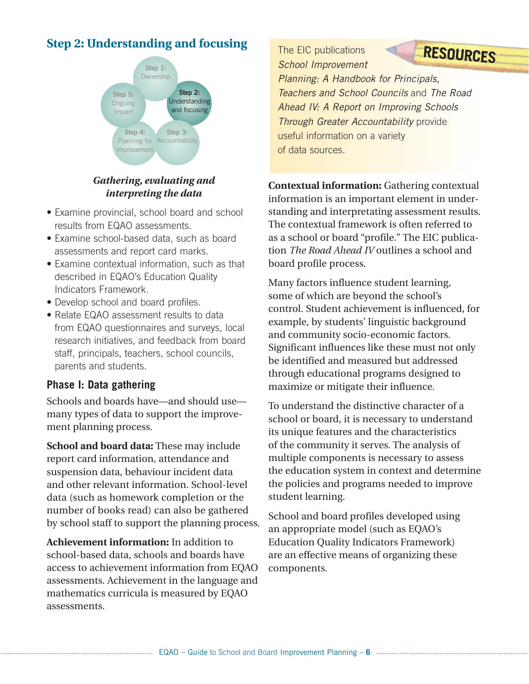# **Step 2: Understanding and focusing**



*Gathering, evaluating and interpreting the data*

- Examine provincial, school board and school results from EQAO assessments.
- Examine school-based data, such as board assessments and report card marks.
- Examine contextual information, such as that described in EQAO's Education Quality Indicators Framework.
- Develop school and board profiles.
- Relate EQAO assessment results to data from EQAO questionnaires and surveys, local research initiatives, and feedback from board staff, principals, teachers, school councils, parents and students.

## **Phase I: Data gathering**

Schools and boards have—and should use many types of data to support the improvement planning process.

**School and board data:** These may include report card information, attendance and suspension data, behaviour incident data and other relevant information. School-level data (such as homework completion or the number of books read) can also be gathered by school staff to support the planning process.

**Achievement information:** In addition to school-based data, schools and boards have access to achievement information from EQAO assessments. Achievement in the language and mathematics curricula is measured by EQAO assessments.

The EIC publications *School Improvement Planning: A Handbook for Principals, Teachers and School Councils* and *The Road Ahead IV: A Report on Improving Schools Through Greater Accountability* provide useful information on a variety of data sources. **RESOURCES**

**Contextual information:** Gathering contextual information is an important element in understanding and interpretating assessment results. The contextual framework is often referred to as a school or board "profile." The EIC publication *The Road Ahead IV* outlines a school and board profile process.

Many factors influence student learning, some of which are beyond the school's control. Student achievement is influenced, for example, by students' linguistic background and community socio-economic factors. Significant influences like these must not only be identified and measured but addressed through educational programs designed to maximize or mitigate their influence.

To understand the distinctive character of a school or board, it is necessary to understand its unique features and the characteristics of the community it serves. The analysis of multiple components is necessary to assess the education system in context and determine the policies and programs needed to improve student learning.

School and board profiles developed using an appropriate model (such as EQAO's Education Quality Indicators Framework) are an effective means of organizing these components.

EQAO – Guide to School and Board Improvement Planning – **6**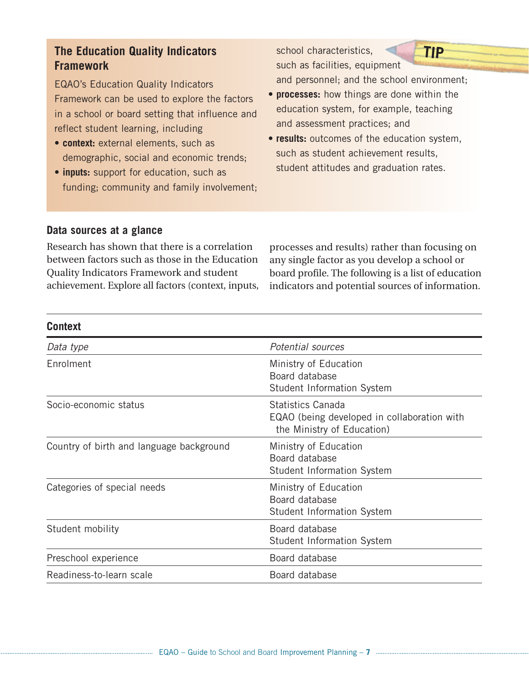# **The Education Quality Indicators Framework**

EQAO's Education Quality Indicators Framework can be used to explore the factors in a school or board setting that influence and reflect student learning, including

- **context:** external elements, such as demographic, social and economic trends;
- **inputs:** support for education, such as funding; community and family involvement;

such as facilities, equipment and personnel; and the school environment;

**TIP**

• **processes:** how things are done within the education system, for example, teaching and assessment practices; and

school characteristics,

• **results:** outcomes of the education system, such as student achievement results, student attitudes and graduation rates.

#### **Data sources at a glance**

Research has shown that there is a correlation between factors such as those in the Education Quality Indicators Framework and student achievement. Explore all factors (context, inputs,

processes and results) rather than focusing on any single factor as you develop a school or board profile. The following is a list of education indicators and potential sources of information.

Student Information System

Student Information System

| <b>Context</b>                           |                                                                                                       |
|------------------------------------------|-------------------------------------------------------------------------------------------------------|
| Data type                                | Potential sources                                                                                     |
| Enrolment                                | Ministry of Education<br>Board database<br><b>Student Information System</b>                          |
| Socio-economic status                    | <b>Statistics Canada</b><br>EQAO (being developed in collaboration with<br>the Ministry of Education) |
| Country of birth and language background | Ministry of Education<br>Board database<br><b>Student Information System</b>                          |
| Categories of special needs              | Ministry of Education<br>Board database                                                               |

Student mobility **Board database** 

Preschool experience Board database Readiness-to-learn scale Board database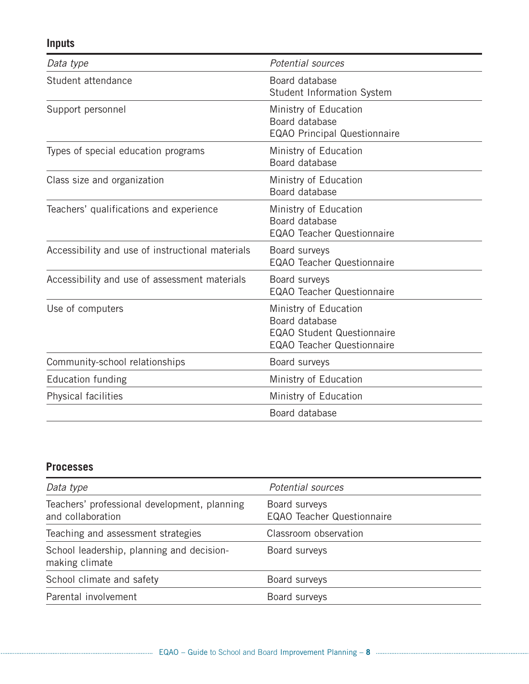# **Inputs**

| Data type                                        | <b>Potential sources</b>                                                                                          |
|--------------------------------------------------|-------------------------------------------------------------------------------------------------------------------|
| Student attendance                               | Board database<br>Student Information System                                                                      |
| Support personnel                                | Ministry of Education<br>Board database<br><b>EQAO Principal Questionnaire</b>                                    |
| Types of special education programs              | Ministry of Education<br>Board database                                                                           |
| Class size and organization                      | Ministry of Education<br>Board database                                                                           |
| Teachers' qualifications and experience          | Ministry of Education<br>Board database<br><b>EQAO Teacher Questionnaire</b>                                      |
| Accessibility and use of instructional materials | Board surveys<br><b>EQAO Teacher Questionnaire</b>                                                                |
| Accessibility and use of assessment materials    | Board surveys<br><b>EQAO Teacher Questionnaire</b>                                                                |
| Use of computers                                 | Ministry of Education<br>Board database<br><b>EQAO Student Questionnaire</b><br><b>EQAO Teacher Questionnaire</b> |
| Community-school relationships                   | Board surveys                                                                                                     |
| <b>Education funding</b>                         | Ministry of Education                                                                                             |
| Physical facilities                              | Ministry of Education                                                                                             |
|                                                  | Board database                                                                                                    |

#### **Processes**

| Data type                                                         | Potential sources                                  |
|-------------------------------------------------------------------|----------------------------------------------------|
| Teachers' professional development, planning<br>and collaboration | Board surveys<br><b>EQAO Teacher Questionnaire</b> |
| Teaching and assessment strategies                                | Classroom observation                              |
| School leadership, planning and decision-<br>making climate       | Board surveys                                      |
| School climate and safety                                         | Board surveys                                      |
| Parental involvement                                              | Board surveys                                      |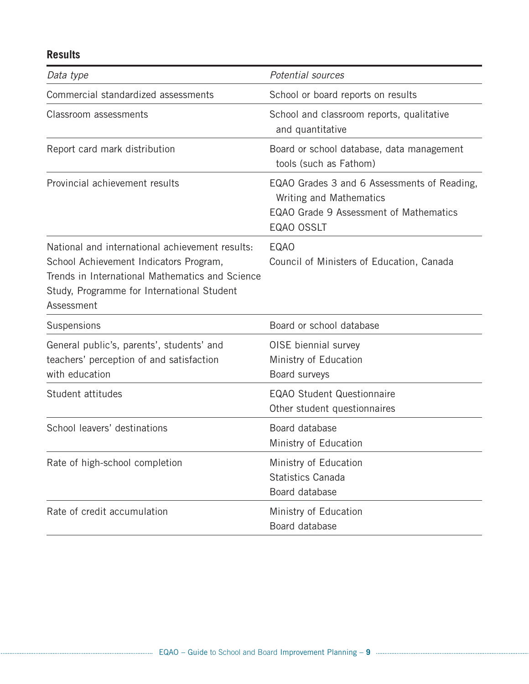# **Results**

| Data type                                                                                                                                                                                                | <b>Potential sources</b>                                                                                                       |  |
|----------------------------------------------------------------------------------------------------------------------------------------------------------------------------------------------------------|--------------------------------------------------------------------------------------------------------------------------------|--|
| Commercial standardized assessments                                                                                                                                                                      | School or board reports on results                                                                                             |  |
| Classroom assessments                                                                                                                                                                                    | School and classroom reports, qualitative<br>and quantitative                                                                  |  |
| Report card mark distribution                                                                                                                                                                            | Board or school database, data management<br>tools (such as Fathom)                                                            |  |
| Provincial achievement results                                                                                                                                                                           | EQAO Grades 3 and 6 Assessments of Reading,<br>Writing and Mathematics<br>EQAO Grade 9 Assessment of Mathematics<br>EQAO OSSLT |  |
| National and international achievement results:<br>School Achievement Indicators Program,<br>Trends in International Mathematics and Science<br>Study, Programme for International Student<br>Assessment | <b>EQAO</b><br>Council of Ministers of Education, Canada                                                                       |  |
| Suspensions                                                                                                                                                                                              | Board or school database                                                                                                       |  |
| General public's, parents', students' and<br>teachers' perception of and satisfaction<br>with education                                                                                                  | OISE biennial survey<br>Ministry of Education<br>Board surveys                                                                 |  |
| Student attitudes                                                                                                                                                                                        | <b>EQAO Student Questionnaire</b><br>Other student questionnaires                                                              |  |
| School leavers' destinations                                                                                                                                                                             | Board database<br>Ministry of Education                                                                                        |  |
| Rate of high-school completion                                                                                                                                                                           | Ministry of Education<br><b>Statistics Canada</b><br>Board database                                                            |  |
| Rate of credit accumulation                                                                                                                                                                              | Ministry of Education<br>Board database                                                                                        |  |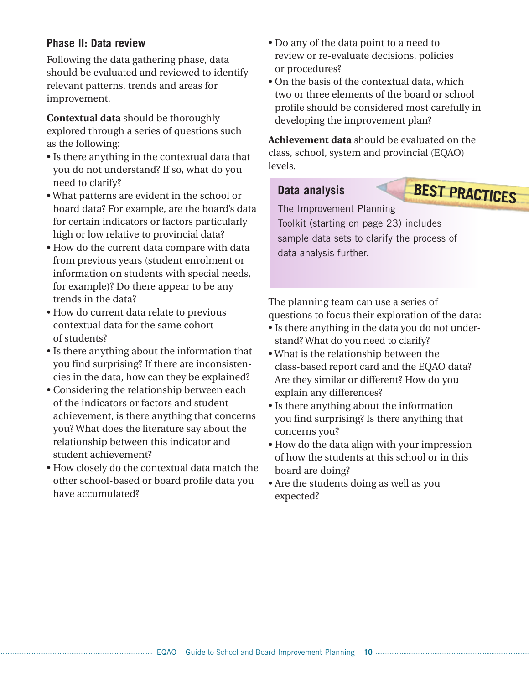#### **Phase II: Data review**

Following the data gathering phase, data should be evaluated and reviewed to identify relevant patterns, trends and areas for improvement.

**Contextual data** should be thoroughly explored through a series of questions such as the following:

- Is there anything in the contextual data that you do not understand? If so, what do you need to clarify?
- What patterns are evident in the school or board data? For example, are the board's data for certain indicators or factors particularly high or low relative to provincial data?
- How do the current data compare with data from previous years (student enrolment or information on students with special needs, for example)? Do there appear to be any trends in the data?
- How do current data relate to previous contextual data for the same cohort of students?
- Is there anything about the information that you find surprising? If there are inconsistencies in the data, how can they be explained?
- Considering the relationship between each of the indicators or factors and student achievement, is there anything that concerns you? What does the literature say about the relationship between this indicator and student achievement?
- How closely do the contextual data match the other school-based or board profile data you have accumulated?
- Do any of the data point to a need to review or re-evaluate decisions, policies or procedures?
- On the basis of the contextual data, which two or three elements of the board or school profile should be considered most carefully in developing the improvement plan?

**Achievement data** should be evaluated on the class, school, system and provincial (EQAO) levels.

## **Data analysis**

# **BEST PRACTICES**

The Improvement Planning Toolkit (starting on page 23) includes sample data sets to clarify the process of data analysis further.

The planning team can use a series of questions to focus their exploration of the data:

- Is there anything in the data you do not understand? What do you need to clarify?
- What is the relationship between the class-based report card and the EQAO data? Are they similar or different? How do you explain any differences?
- Is there anything about the information you find surprising? Is there anything that concerns you?
- How do the data align with your impression of how the students at this school or in this board are doing?
- Are the students doing as well as you expected?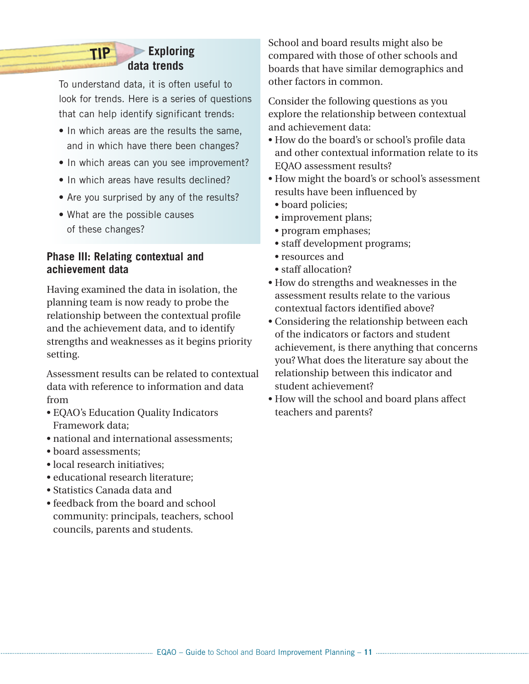## **Exploring data trends**

To understand data, it is often useful to look for trends. Here is a series of questions that can help identify significant trends:

- In which areas are the results the same, and in which have there been changes?
- In which areas can you see improvement?
- In which areas have results declined?
- Are you surprised by any of the results?
- What are the possible causes of these changes?

**TIP**

#### **Phase III: Relating contextual and achievement data**

Having examined the data in isolation, the planning team is now ready to probe the relationship between the contextual profile and the achievement data, and to identify strengths and weaknesses as it begins priority setting.

Assessment results can be related to contextual data with reference to information and data from

- EQAO's Education Quality Indicators Framework data;
- national and international assessments;
- board assessments;
- local research initiatives:
- educational research literature;
- Statistics Canada data and
- feedback from the board and school community: principals, teachers, school councils, parents and students.

School and board results might also be compared with those of other schools and boards that have similar demographics and other factors in common.

Consider the following questions as you explore the relationship between contextual and achievement data:

- How do the board's or school's profile data and other contextual information relate to its EQAO assessment results?
- How might the board's or school's assessment results have been influenced by
	- board policies;
	- improvement plans;
	- program emphases;
	- staff development programs;
	- resources and
	- staff allocation?
- How do strengths and weaknesses in the assessment results relate to the various contextual factors identified above?
- Considering the relationship between each of the indicators or factors and student achievement, is there anything that concerns you? What does the literature say about the relationship between this indicator and student achievement?
- How will the school and board plans affect teachers and parents?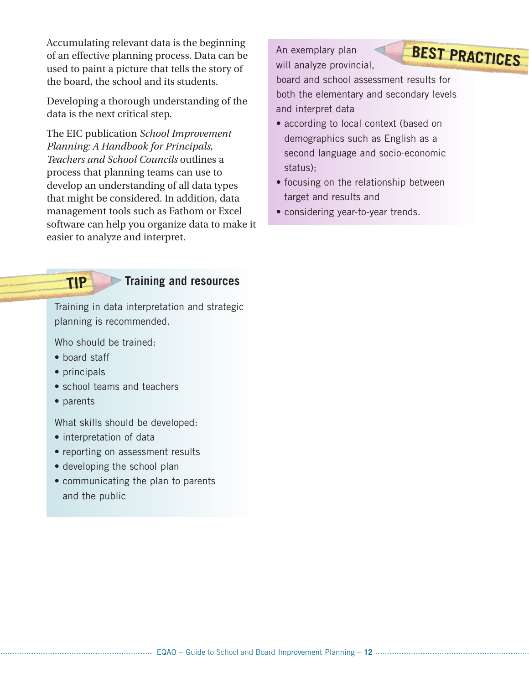Accumulating relevant data is the beginning of an effective planning process. Data can be used to paint a picture that tells the story of the board, the school and its students.

Developing a thorough understanding of the data is the next critical step.

The EIC publication *School Improvement Planning: A Handbook for Principals, Teachers and School Councils* outlines a process that planning teams can use to develop an understanding of all data types that might be considered. In addition, data management tools such as Fathom or Excel software can help you organize data to make it easier to analyze and interpret.

An exemplary plan will analyze provincial,



board and school assessment results for both the elementary and secondary levels and interpret data

- according to local context (based on demographics such as English as a second language and socio-economic status);
- focusing on the relationship between target and results and
- considering year-to-year trends.

# **TIP**

# **Training and resources**

Training in data interpretation and strategic planning is recommended.

Who should be trained:

- board staff
- principals
- school teams and teachers
- parents

What skills should be developed:

- interpretation of data
- reporting on assessment results
- developing the school plan
- communicating the plan to parents and the public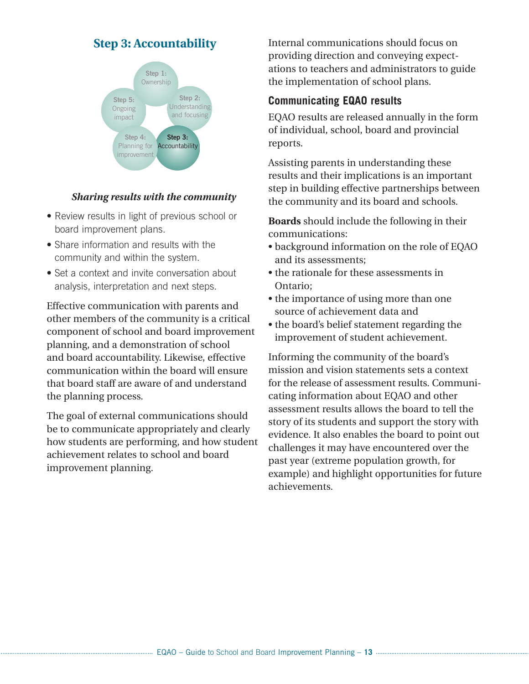# **Step 3: Accountability**



#### *Sharing results with the community*

- Review results in light of previous school or board improvement plans.
- Share information and results with the community and within the system.
- Set a context and invite conversation about analysis, interpretation and next steps.

Effective communication with parents and other members of the community is a critical component of school and board improvement planning, and a demonstration of school and board accountability. Likewise, effective communication within the board will ensure that board staff are aware of and understand the planning process.

The goal of external communications should be to communicate appropriately and clearly how students are performing, and how student achievement relates to school and board improvement planning.

Internal communications should focus on providing direction and conveying expectations to teachers and administrators to guide the implementation of school plans.

#### **Communicating EQAO results**

EQAO results are released annually in the form of individual, school, board and provincial reports.

Assisting parents in understanding these results and their implications is an important step in building effective partnerships between the community and its board and schools.

**Boards** should include the following in their communications:

- background information on the role of EQAO and its assessments;
- the rationale for these assessments in Ontario;
- the importance of using more than one source of achievement data and
- the board's belief statement regarding the improvement of student achievement.

Informing the community of the board's mission and vision statements sets a context for the release of assessment results. Communicating information about EQAO and other assessment results allows the board to tell the story of its students and support the story with evidence. It also enables the board to point out challenges it may have encountered over the past year (extreme population growth, for example) and highlight opportunities for future achievements.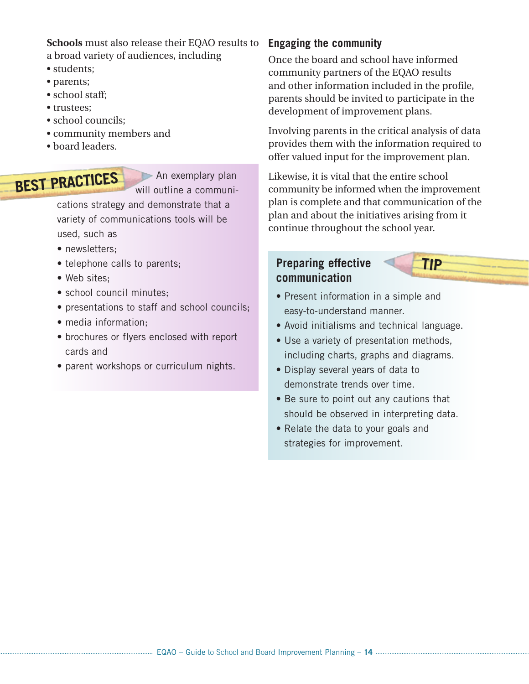**Schools** must also release their EQAO results to a broad variety of audiences, including

- students;
- parents;
- school staff;
- trustees;
- school councils:
- community members and
- board leaders.

# **BEST PRACTICES**

An exemplary plan will outline a communi-

cations strategy and demonstrate that a variety of communications tools will be used, such as

- newsletters:
- telephone calls to parents;
- Web sites;
- school council minutes:
- presentations to staff and school councils;
- media information;
- brochures or flyers enclosed with report cards and
- parent workshops or curriculum nights.

#### **Engaging the community**

Once the board and school have informed community partners of the EQAO results and other information included in the profile, parents should be invited to participate in the development of improvement plans.

Involving parents in the critical analysis of data provides them with the information required to offer valued input for the improvement plan.

Likewise, it is vital that the entire school community be informed when the improvement plan is complete and that communication of the plan and about the initiatives arising from it continue throughout the school year.

#### **Preparing effective communication**



- Present information in a simple and easy-to-understand manner.
- Avoid initialisms and technical language.
- Use a variety of presentation methods, including charts, graphs and diagrams.
- Display several years of data to demonstrate trends over time.
- Be sure to point out any cautions that should be observed in interpreting data.
- Relate the data to your goals and strategies for improvement.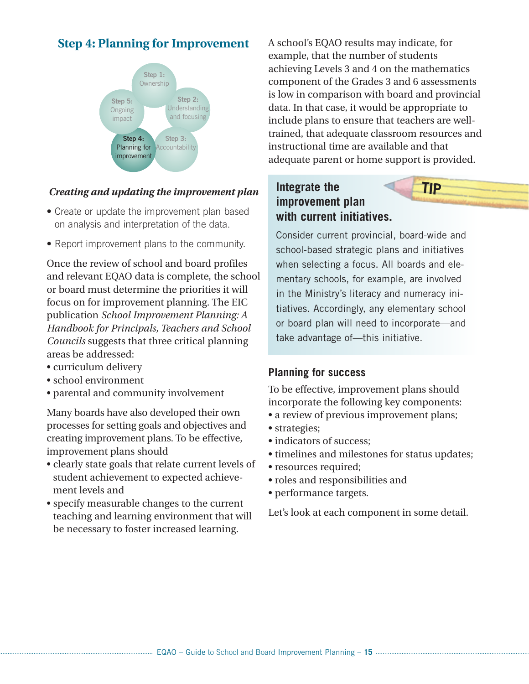# **Step 4: Planning for Improvement**



#### *Creating and updating the improvement plan*

- Create or update the improvement plan based on analysis and interpretation of the data.
- Report improvement plans to the community.

Once the review of school and board profiles and relevant EQAO data is complete, the school or board must determine the priorities it will focus on for improvement planning. The EIC publication *School Improvement Planning: A Handbook for Principals, Teachers and School Councils* suggests that three critical planning areas be addressed:

- curriculum delivery
- school environment
- parental and community involvement

Many boards have also developed their own processes for setting goals and objectives and creating improvement plans. To be effective, improvement plans should

- clearly state goals that relate current levels of student achievement to expected achievement levels and
- specify measurable changes to the current teaching and learning environment that will be necessary to foster increased learning.

A school's EQAO results may indicate, for example, that the number of students achieving Levels 3 and 4 on the mathematics component of the Grades 3 and 6 assessments is low in comparison with board and provincial data. In that case, it would be appropriate to include plans to ensure that teachers are welltrained, that adequate classroom resources and instructional time are available and that adequate parent or home support is provided.

**TIP**

# **Integrate the improvement plan with current initiatives.**

Consider current provincial, board-wide and school-based strategic plans and initiatives when selecting a focus. All boards and elementary schools, for example, are involved in the Ministry's literacy and numeracy initiatives. Accordingly, any elementary school or board plan will need to incorporate—and take advantage of—this initiative.

#### **Planning for success**

To be effective, improvement plans should incorporate the following key components:

- a review of previous improvement plans;
- strategies;
- indicators of success:
- timelines and milestones for status updates;
- resources required;
- roles and responsibilities and
- performance targets.

Let's look at each component in some detail.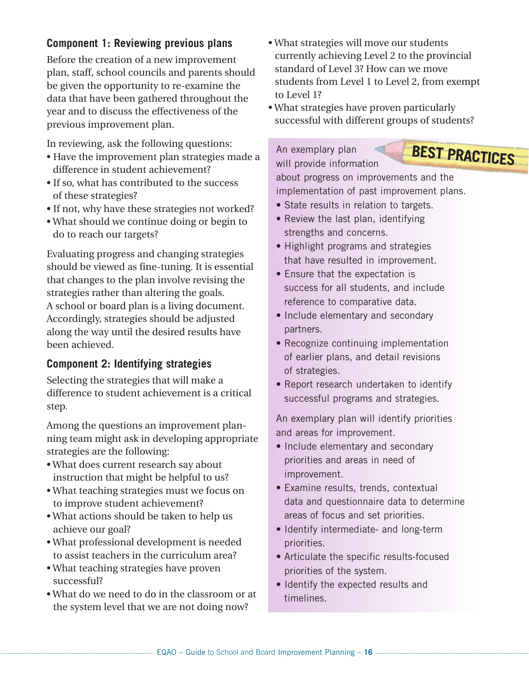### **Component 1: Reviewing previous plans**

Before the creation of a new improvement plan, staff, school councils and parents should be given the opportunity to re-examine the data that have been gathered throughout the year and to discuss the effectiveness of the previous improvement plan.

In reviewing, ask the following questions:

- Have the improvement plan strategies made a difference in student achievement?
- If so, what has contributed to the success of these strategies?
- If not, why have these strategies not worked?
- What should we continue doing or begin to do to reach our targets?

Evaluating progress and changing strategies should be viewed as fine-tuning. It is essential that changes to the plan involve revising the strategies rather than altering the goals. A school or board plan is a living document. Accordingly, strategies should be adjusted along the way until the desired results have been achieved.

## **Component 2: Identifying strategies**

Selecting the strategies that will make a difference to student achievement is a critical step.

Among the questions an improvement planning team might ask in developing appropriate strategies are the following:

- What does current research say about instruction that might be helpful to us?
- What teaching strategies must we focus on to improve student achievement?
- What actions should be taken to help us achieve our goal?
- What professional development is needed to assist teachers in the curriculum area?
- What teaching strategies have proven successful?
- What do we need to do in the classroom or at the system level that we are not doing now?
- What strategies will move our students currently achieving Level 2 to the provincial standard of Level 3? How can we move students from Level 1 to Level 2, from exempt to Level 1?
- What strategies have proven particularly successful with different groups of students?

An exemplary plan will provide information



about progress on improvements and the implementation of past improvement plans.

- State results in relation to targets.
- Review the last plan, identifying strengths and concerns.
- Highlight programs and strategies that have resulted in improvement.
- Ensure that the expectation is success for all students, and include reference to comparative data.
- Include elementary and secondary partners.
- Recognize continuing implementation of earlier plans, and detail revisions of strategies.
- Report research undertaken to identify successful programs and strategies.

An exemplary plan will identify priorities and areas for improvement.

- Include elementary and secondary priorities and areas in need of improvement.
- Examine results, trends, contextual data and questionnaire data to determine areas of focus and set priorities.
- Identify intermediate- and long-term priorities.
- Articulate the specific results-focused priorities of the system.
- Identify the expected results and timelines.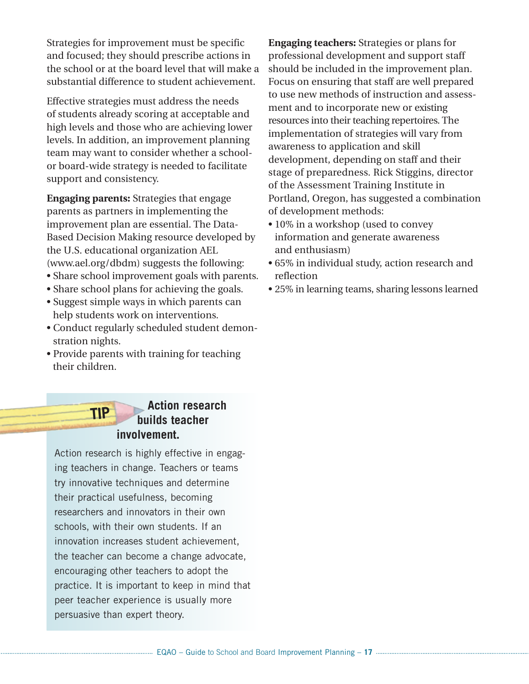Strategies for improvement must be specific and focused; they should prescribe actions in the school or at the board level that will make a substantial difference to student achievement.

Effective strategies must address the needs of students already scoring at acceptable and high levels and those who are achieving lower levels. In addition, an improvement planning team may want to consider whether a schoolor board-wide strategy is needed to facilitate support and consistency.

**Engaging parents:** Strategies that engage parents as partners in implementing the improvement plan are essential. The Data-Based Decision Making resource developed by the U.S. educational organization AEL (www.ael.org/dbdm) suggests the following:

- Share school improvement goals with parents.
- Share school plans for achieving the goals.
- Suggest simple ways in which parents can help students work on interventions.
- Conduct regularly scheduled student demonstration nights.
- Provide parents with training for teaching their children.

#### **Action research builds teacher involvement. TIP**

Action research is highly effective in engaging teachers in change. Teachers or teams try innovative techniques and determine their practical usefulness, becoming researchers and innovators in their own schools, with their own students. If an innovation increases student achievement, the teacher can become a change advocate, encouraging other teachers to adopt the practice. It is important to keep in mind that peer teacher experience is usually more persuasive than expert theory.

**Engaging teachers:** Strategies or plans for professional development and support staff should be included in the improvement plan. Focus on ensuring that staff are well prepared to use new methods of instruction and assessment and to incorporate new or existing resources into their teaching repertoires. The implementation of strategies will vary from awareness to application and skill development, depending on staff and their stage of preparedness. Rick Stiggins, director of the Assessment Training Institute in Portland, Oregon, has suggested a combination of development methods:

- 10% in a workshop (used to convey information and generate awareness and enthusiasm)
- 65% in individual study, action research and reflection
- 25% in learning teams, sharing lessons learned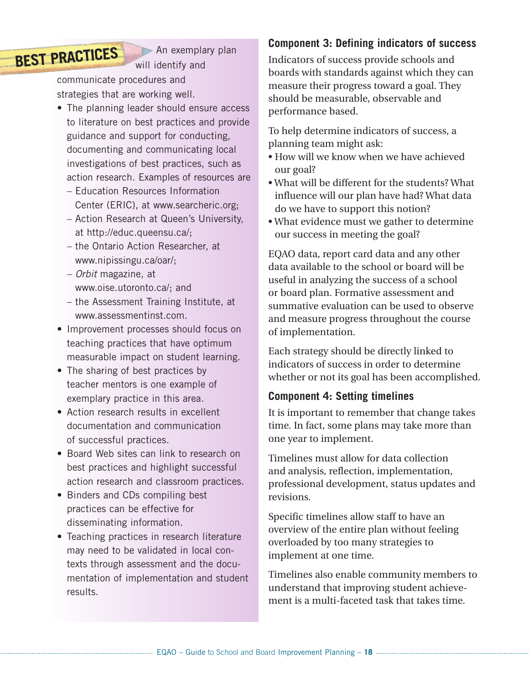# **BEST PRACTICES**

An exemplary plan will identify and

communicate procedures and strategies that are working well.

- The planning leader should ensure access to literature on best practices and provide guidance and support for conducting, documenting and communicating local investigations of best practices, such as action research. Examples of resources are
	- Education Resources Information Center (ERIC), at www.searcheric.org;
	- Action Research at Queen's University, at http://educ.queensu.ca/;
	- the Ontario Action Researcher, at www.nipissingu.ca/oar/;
	- *Orbit* magazine, at www.oise.utoronto.ca/; and
	- the Assessment Training Institute, at www.assessmentinst.com.
- Improvement processes should focus on teaching practices that have optimum measurable impact on student learning.
- The sharing of best practices by teacher mentors is one example of exemplary practice in this area.
- Action research results in excellent documentation and communication of successful practices.
- Board Web sites can link to research on best practices and highlight successful action research and classroom practices.
- Binders and CDs compiling best practices can be effective for disseminating information.
- Teaching practices in research literature may need to be validated in local contexts through assessment and the documentation of implementation and student results.

# **Component 3: Defining indicators of success**

Indicators of success provide schools and boards with standards against which they can measure their progress toward a goal. They should be measurable, observable and performance based.

To help determine indicators of success, a planning team might ask:

- How will we know when we have achieved our goal?
- What will be different for the students? What influence will our plan have had? What data do we have to support this notion?
- What evidence must we gather to determine our success in meeting the goal?

EQAO data, report card data and any other data available to the school or board will be useful in analyzing the success of a school or board plan. Formative assessment and summative evaluation can be used to observe and measure progress throughout the course of implementation.

Each strategy should be directly linked to indicators of success in order to determine whether or not its goal has been accomplished.

# **Component 4: Setting timelines**

It is important to remember that change takes time. In fact, some plans may take more than one year to implement.

Timelines must allow for data collection and analysis, reflection, implementation, professional development, status updates and revisions.

Specific timelines allow staff to have an overview of the entire plan without feeling overloaded by too many strategies to implement at one time.

Timelines also enable community members to understand that improving student achievement is a multi-faceted task that takes time.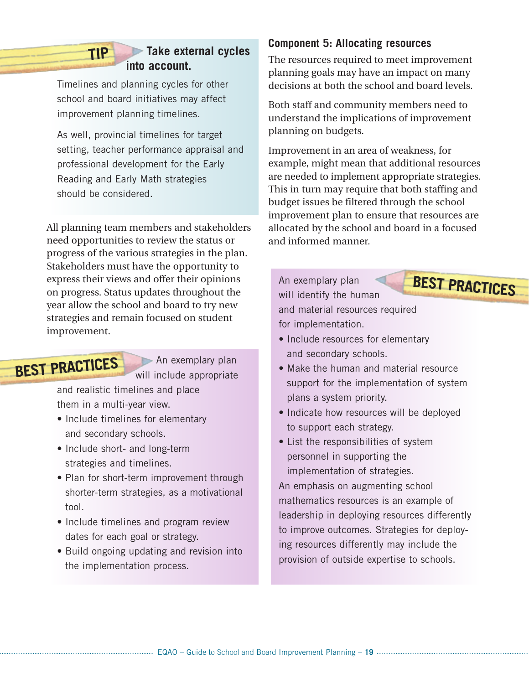## **Take external cycles into account.**

Timelines and planning cycles for other school and board initiatives may affect improvement planning timelines.

**TIP**

As well, provincial timelines for target setting, teacher performance appraisal and professional development for the Early Reading and Early Math strategies should be considered.

All planning team members and stakeholders need opportunities to review the status or progress of the various strategies in the plan. Stakeholders must have the opportunity to express their views and offer their opinions on progress. Status updates throughout the year allow the school and board to try new strategies and remain focused on student improvement.

# **BEST PRACTICES**

An exemplary plan will include appropriate

and realistic timelines and place them in a multi-year view.

- Include timelines for elementary and secondary schools.
- Include short- and long-term strategies and timelines.
- Plan for short-term improvement through shorter-term strategies, as a motivational tool.
- Include timelines and program review dates for each goal or strategy.
- Build ongoing updating and revision into the implementation process.

#### **Component 5: Allocating resources**

The resources required to meet improvement planning goals may have an impact on many decisions at both the school and board levels.

Both staff and community members need to understand the implications of improvement planning on budgets.

Improvement in an area of weakness, for example, might mean that additional resources are needed to implement appropriate strategies. This in turn may require that both staffing and budget issues be filtered through the school improvement plan to ensure that resources are allocated by the school and board in a focused and informed manner.

An exemplary plan will identify the human and material resources required for implementation. **BEST PRACTICES**

- Include resources for elementary and secondary schools.
- Make the human and material resource support for the implementation of system plans a system priority.
- Indicate how resources will be deployed to support each strategy.
- List the responsibilities of system personnel in supporting the implementation of strategies.

An emphasis on augmenting school mathematics resources is an example of leadership in deploying resources differently to improve outcomes. Strategies for deploying resources differently may include the provision of outside expertise to schools.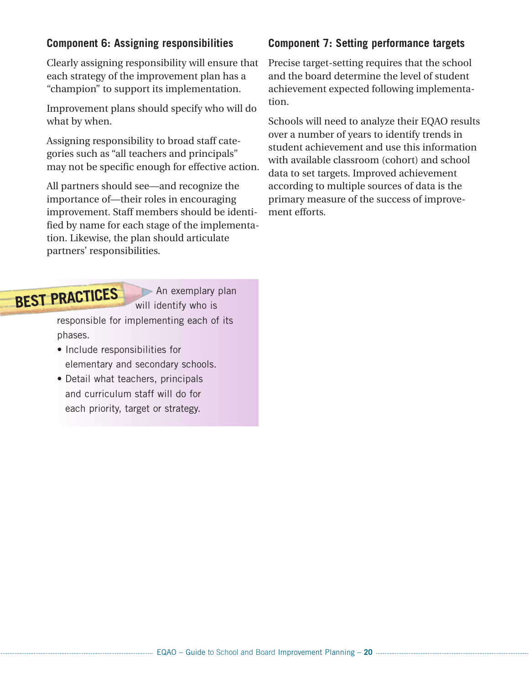#### **Component 6: Assigning responsibilities**

Clearly assigning responsibility will ensure that each strategy of the improvement plan has a "champion" to support its implementation.

Improvement plans should specify who will do what by when.

Assigning responsibility to broad staff categories such as "all teachers and principals" may not be specific enough for effective action.

All partners should see—and recognize the importance of—their roles in encouraging improvement. Staff members should be identified by name for each stage of the implementation. Likewise, the plan should articulate partners' responsibilities.

#### **Component 7: Setting performance targets**

Precise target-setting requires that the school and the board determine the level of student achievement expected following implementation.

Schools will need to analyze their EQAO results over a number of years to identify trends in student achievement and use this information with available classroom (cohort) and school data to set targets. Improved achievement according to multiple sources of data is the primary measure of the success of improvement efforts.

# **BEST PRACTICES**

An exemplary plan will identify who is

responsible for implementing each of its phases.

- Include responsibilities for elementary and secondary schools.
- Detail what teachers, principals and curriculum staff will do for each priority, target or strategy.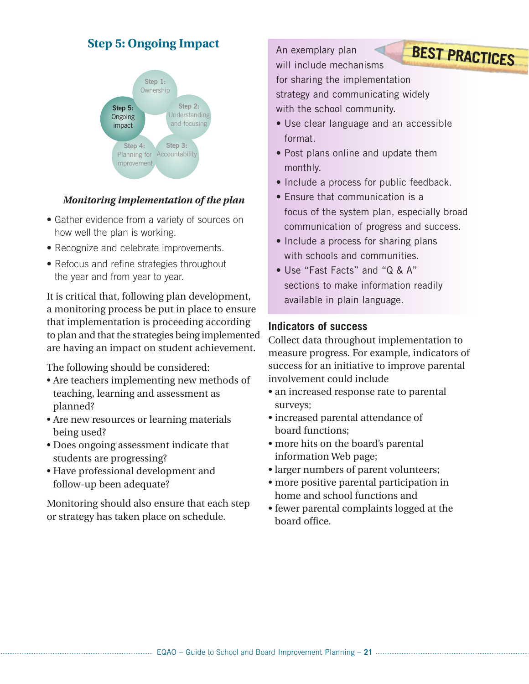# **Step 5: Ongoing Impact**



#### *Monitoring implementation of the plan*

- Gather evidence from a variety of sources on how well the plan is working.
- Recognize and celebrate improvements.
- Refocus and refine strategies throughout the year and from year to year.

It is critical that, following plan development, a monitoring process be put in place to ensure that implementation is proceeding according to plan and that the strategies being implemented are having an impact on student achievement.

The following should be considered:

- Are teachers implementing new methods of teaching, learning and assessment as planned?
- Are new resources or learning materials being used?
- Does ongoing assessment indicate that students are progressing?
- Have professional development and follow-up been adequate?

Monitoring should also ensure that each step or strategy has taken place on schedule.

An exemplary plan will include mechanisms for sharing the implementation strategy and communicating widely with the school community. **BEST PRACTICES**

- Use clear language and an accessible format.
- Post plans online and update them monthly.
- Include a process for public feedback.
- Ensure that communication is a focus of the system plan, especially broad communication of progress and success.
- Include a process for sharing plans with schools and communities.
- Use "Fast Facts" and "Q & A" sections to make information readily available in plain language.

#### **Indicators of success**

Collect data throughout implementation to measure progress. For example, indicators of success for an initiative to improve parental involvement could include

- an increased response rate to parental surveys;
- increased parental attendance of board functions;
- more hits on the board's parental information Web page;
- larger numbers of parent volunteers;
- more positive parental participation in home and school functions and
- fewer parental complaints logged at the board office.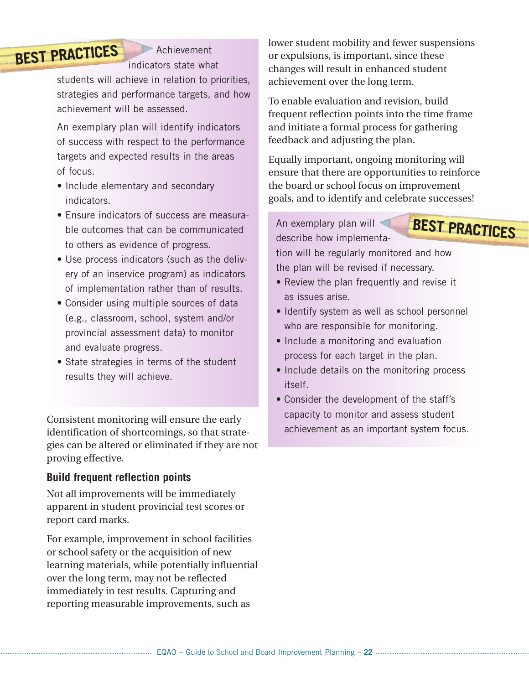# **BEST PRACTICES**

**Achievement** indicators state what

students will achieve in relation to priorities, strategies and performance targets, and how achievement will be assessed.

An exemplary plan will identify indicators of success with respect to the performance targets and expected results in the areas of focus.

- Include elementary and secondary indicators.
- Ensure indicators of success are measurable outcomes that can be communicated to others as evidence of progress.
- Use process indicators (such as the delivery of an inservice program) as indicators of implementation rather than of results.
- Consider using multiple sources of data (e.g., classroom, school, system and/or provincial assessment data) to monitor and evaluate progress.
- State strategies in terms of the student results they will achieve.

Consistent monitoring will ensure the early identification of shortcomings, so that strategies can be altered or eliminated if they are not proving effective.

#### **Build frequent reflection points**

Not all improvements will be immediately apparent in student provincial test scores or report card marks.

For example, improvement in school facilities or school safety or the acquisition of new learning materials, while potentially influential over the long term, may not be reflected immediately in test results. Capturing and reporting measurable improvements, such as

lower student mobility and fewer suspensions or expulsions, is important, since these changes will result in enhanced student achievement over the long term.

To enable evaluation and revision, build frequent reflection points into the time frame and initiate a formal process for gathering feedback and adjusting the plan.

Equally important, ongoing monitoring will ensure that there are opportunities to reinforce the board or school focus on improvement goals, and to identify and celebrate successes!

An exemplary plan will describe how implementa**BEST PRACTICES**

tion will be regularly monitored and how the plan will be revised if necessary.

- Review the plan frequently and revise it as issues arise.
- Identify system as well as school personnel who are responsible for monitoring.
- Include a monitoring and evaluation process for each target in the plan.
- Include details on the monitoring process itself.
- Consider the development of the staff's capacity to monitor and assess student achievement as an important system focus.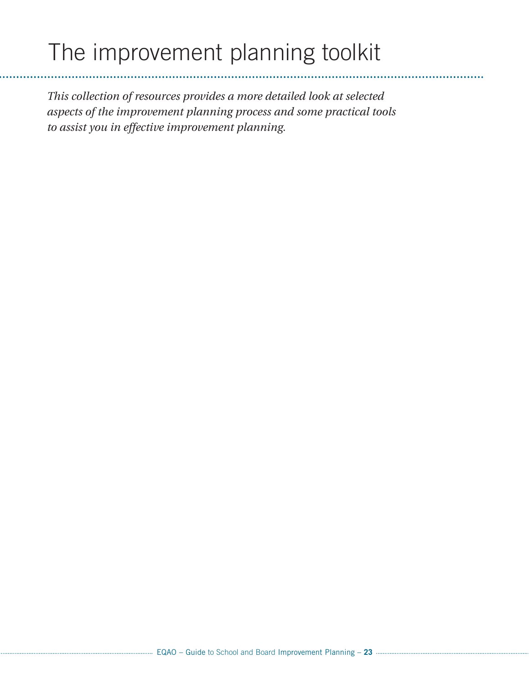# The improvement planning toolkit

*This collection of resources provides a more detailed look at selected aspects of the improvement planning process and some practical tools to assist you in effective improvement planning.*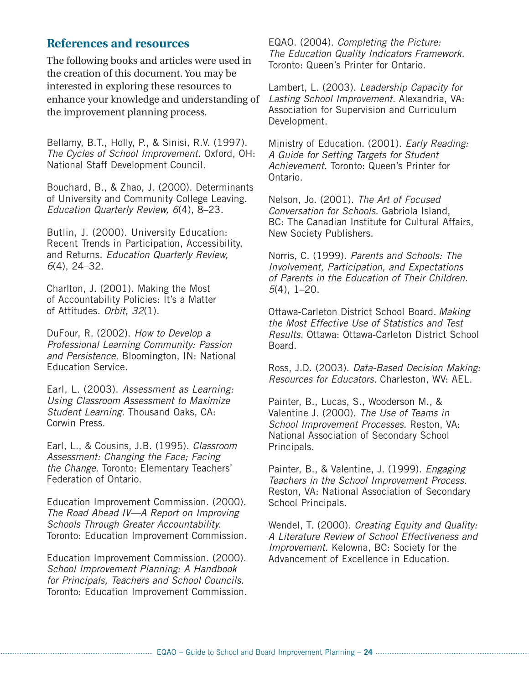#### **References and resources**

The following books and articles were used in the creation of this document. You may be interested in exploring these resources to enhance your knowledge and understanding of the improvement planning process.

Bellamy, B.T., Holly, P., & Sinisi, R.V. (1997). *The Cycles of School Improvement.* Oxford, OH: National Staff Development Council.

Bouchard, B., & Zhao, J. (2000). Determinants of University and Community College Leaving. *Education Quarterly Review, 6*(4), 8–23.

Butlin, J. (2000). University Education: Recent Trends in Participation, Accessibility, and Returns. *Education Quarterly Review, 6*(4), 24–32.

Charlton, J. (2001). Making the Most of Accountability Policies: It's a Matter of Attitudes. *Orbit, 32*(1).

DuFour, R. (2002). *How to Develop a Professional Learning Community: Passion and Persistence.* Bloomington, IN: National Education Service.

Earl, L. (2003). *Assessment as Learning: Using Classroom Assessment to Maximize Student Learning.* Thousand Oaks, CA: Corwin Press.

Earl, L., & Cousins, J.B. (1995). *Classroom Assessment: Changing the Face; Facing the Change.* Toronto: Elementary Teachers' Federation of Ontario.

Education Improvement Commission. (2000). *The Road Ahead IV—A Report on Improving Schools Through Greater Accountability.* Toronto: Education Improvement Commission.

Education Improvement Commission. (2000). *School Improvement Planning: A Handbook for Principals, Teachers and School Councils.* Toronto: Education Improvement Commission. EQAO. (2004). *Completing the Picture: The Education Quality Indicators Framework.* Toronto: Queen's Printer for Ontario.

Lambert, L. (2003). *Leadership Capacity for Lasting School Improvement.* Alexandria, VA: Association for Supervision and Curriculum Development.

Ministry of Education. (2001). *Early Reading: A Guide for Setting Targets for Student Achievement.* Toronto: Queen's Printer for Ontario.

Nelson, Jo. (2001). *The Art of Focused Conversation for Schools.* Gabriola Island, BC: The Canadian Institute for Cultural Affairs, New Society Publishers.

Norris, C. (1999). *Parents and Schools: The Involvement, Participation, and Expectations of Parents in the Education of Their Children. 5*(4), 1–20.

Ottawa-Carleton District School Board. *Making the Most Effective Use of Statistics and Test Results.* Ottawa: Ottawa-Carleton District School Board.

Ross, J.D. (2003). *Data-Based Decision Making: Resources for Educators.* Charleston, WV: AEL.

Painter, B., Lucas, S., Wooderson M., & Valentine J. (2000). *The Use of Teams in School Improvement Processes.* Reston, VA: National Association of Secondary School Principals.

Painter, B., & Valentine, J. (1999). *Engaging Teachers in the School Improvement Process.* Reston, VA: National Association of Secondary School Principals.

Wendel, T. (2000). *Creating Equity and Quality: A Literature Review of School Effectiveness and Improvement.* Kelowna, BC: Society for the Advancement of Excellence in Education.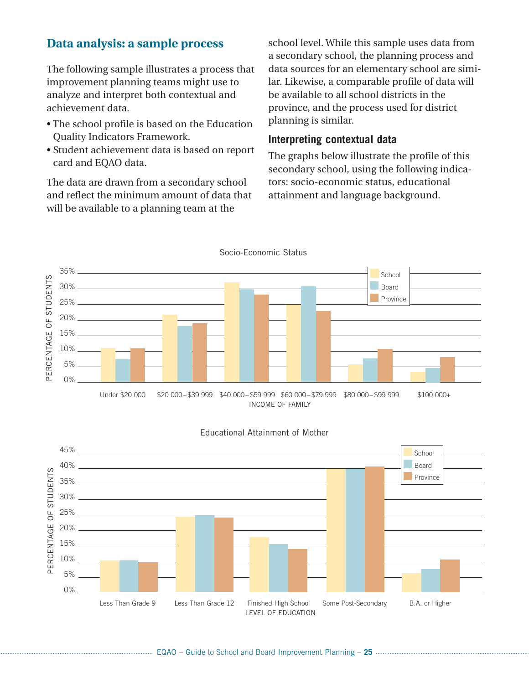## **Data analysis: a sample process**

The following sample illustrates a process that improvement planning teams might use to analyze and interpret both contextual and achievement data.

- The school profile is based on the Education Quality Indicators Framework.
- Student achievement data is based on report card and EQAO data.

The data are drawn from a secondary school and reflect the minimum amount of data that will be available to a planning team at the

school level. While this sample uses data from a secondary school, the planning process and data sources for an elementary school are similar. Likewise, a comparable profile of data will be available to all school districts in the province, and the process used for district planning is similar.

#### **Interpreting contextual data**

The graphs below illustrate the profile of this secondary school, using the following indicators: socio-economic status, educational attainment and language background.



45% **School** 40% Board RCENTAGE OF STUDENTS PERCENTAGE OF STUDENTS Province 35% 30% 25% 20% 15% 10% 짇 5% 0% Less Than Grade 9 Less Than Grade 12 Finished High School Some Post-Secondary B.A. or Higher LEVEL OF EDUCATION

#### Educational Attainment of Mother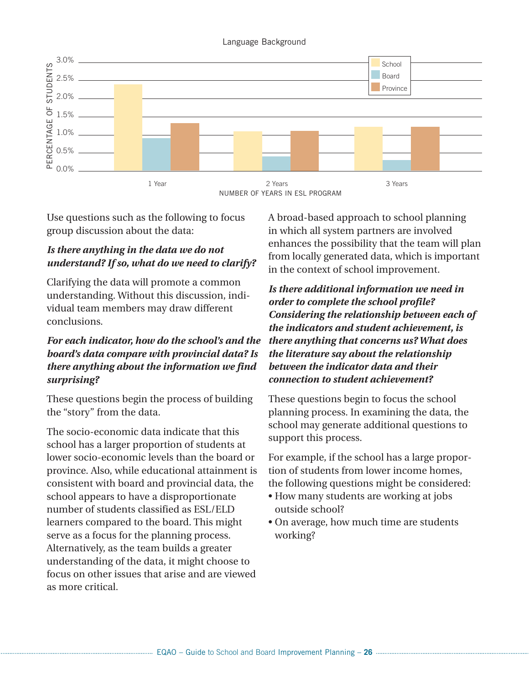#### Language Background



Use questions such as the following to focus group discussion about the data:

#### *Is there anything in the data we do not understand? If so, what do we need to clarify?*

Clarifying the data will promote a common understanding. Without this discussion, individual team members may draw different conclusions.

#### *For each indicator, how do the school's and the board's data compare with provincial data? Is there anything about the information we find surprising?*

These questions begin the process of building the "story" from the data.

The socio-economic data indicate that this school has a larger proportion of students at lower socio-economic levels than the board or province. Also, while educational attainment is consistent with board and provincial data, the school appears to have a disproportionate number of students classified as ESL/ELD learners compared to the board. This might serve as a focus for the planning process. Alternatively, as the team builds a greater understanding of the data, it might choose to focus on other issues that arise and are viewed as more critical.

A broad-based approach to school planning in which all system partners are involved enhances the possibility that the team will plan from locally generated data, which is important in the context of school improvement.

*Is there additional information we need in order to complete the school profile? Considering the relationship between each of the indicators and student achievement, is there anything that concerns us? What does the literature say about the relationship between the indicator data and their connection to student achievement?*

These questions begin to focus the school planning process. In examining the data, the school may generate additional questions to support this process.

For example, if the school has a large proportion of students from lower income homes, the following questions might be considered:

- How many students are working at jobs outside school?
- On average, how much time are students working?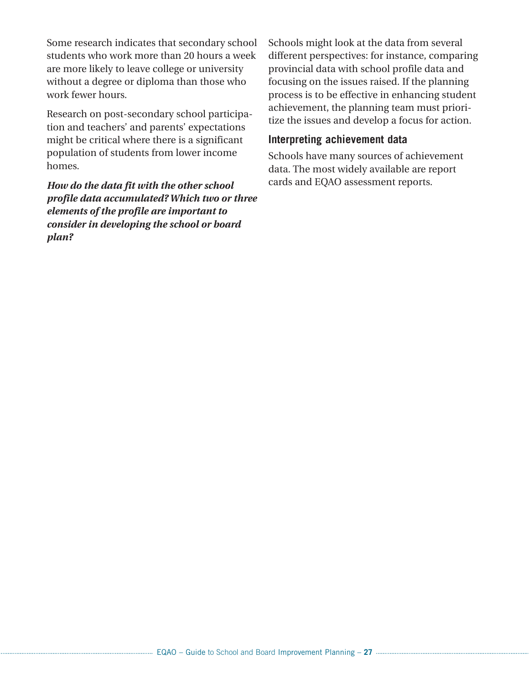Some research indicates that secondary school students who work more than 20 hours a week are more likely to leave college or university without a degree or diploma than those who work fewer hours.

Research on post-secondary school participation and teachers' and parents' expectations might be critical where there is a significant population of students from lower income homes.

*How do the data fit with the other school profile data accumulated? Which two or three elements of the profile are important to consider in developing the school or board plan?*

Schools might look at the data from several different perspectives: for instance, comparing provincial data with school profile data and focusing on the issues raised. If the planning process is to be effective in enhancing student achievement, the planning team must prioritize the issues and develop a focus for action.

#### **Interpreting achievement data**

Schools have many sources of achievement data. The most widely available are report cards and EQAO assessment reports.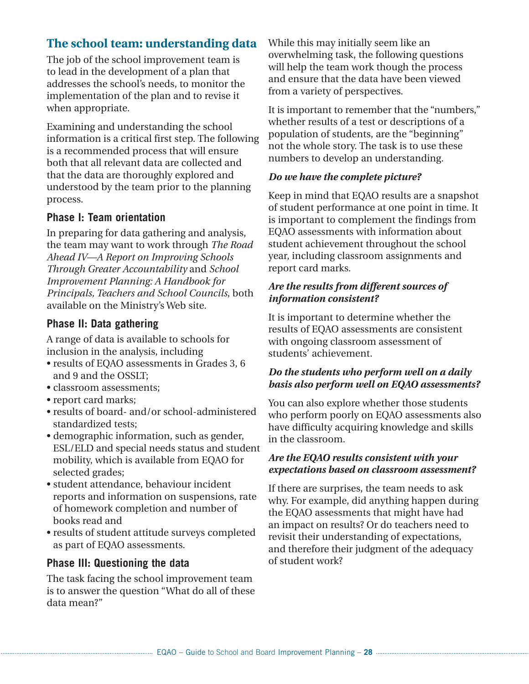# **The school team: understanding data**

The job of the school improvement team is to lead in the development of a plan that addresses the school's needs, to monitor the implementation of the plan and to revise it when appropriate.

Examining and understanding the school information is a critical first step. The following is a recommended process that will ensure both that all relevant data are collected and that the data are thoroughly explored and understood by the team prior to the planning process.

#### **Phase I: Team orientation**

In preparing for data gathering and analysis, the team may want to work through *The Road Ahead IV—A Report on Improving Schools Through Greater Accountability* and *School Improvement Planning: A Handbook for Principals, Teachers and School Councils*, both available on the Ministry's Web site.

#### **Phase II: Data gathering**

A range of data is available to schools for inclusion in the analysis, including

- results of EQAO assessments in Grades 3, 6 and 9 and the OSSLT;
- classroom assessments;
- report card marks;
- results of board- and/or school-administered standardized tests;
- demographic information, such as gender, ESL/ELD and special needs status and student mobility, which is available from EQAO for selected grades;
- student attendance, behaviour incident reports and information on suspensions, rate of homework completion and number of books read and
- results of student attitude surveys completed as part of EQAO assessments.

#### **Phase III: Questioning the data**

The task facing the school improvement team is to answer the question "What do all of these data mean?"

While this may initially seem like an overwhelming task, the following questions will help the team work though the process and ensure that the data have been viewed from a variety of perspectives.

It is important to remember that the "numbers," whether results of a test or descriptions of a population of students, are the "beginning" not the whole story. The task is to use these numbers to develop an understanding.

#### *Do we have the complete picture?*

Keep in mind that EQAO results are a snapshot of student performance at one point in time. It is important to complement the findings from EQAO assessments with information about student achievement throughout the school year, including classroom assignments and report card marks.

#### *Are the results from different sources of information consistent?*

It is important to determine whether the results of EQAO assessments are consistent with ongoing classroom assessment of students' achievement.

#### *Do the students who perform well on a daily basis also perform well on EQAO assessments?*

You can also explore whether those students who perform poorly on EQAO assessments also have difficulty acquiring knowledge and skills in the classroom.

#### *Are the EQAO results consistent with your expectations based on classroom assessment?*

If there are surprises, the team needs to ask why. For example, did anything happen during the EQAO assessments that might have had an impact on results? Or do teachers need to revisit their understanding of expectations, and therefore their judgment of the adequacy of student work?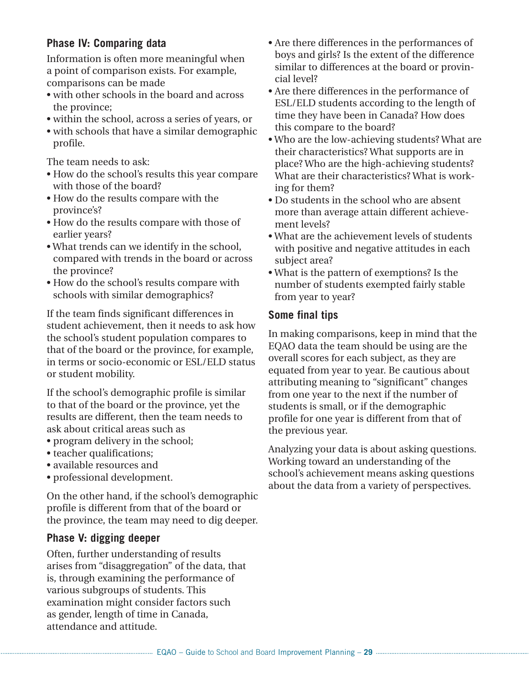#### **Phase IV: Comparing data**

Information is often more meaningful when a point of comparison exists. For example, comparisons can be made

- with other schools in the board and across the province;
- within the school, across a series of years, or
- with schools that have a similar demographic profile.

The team needs to ask:

- How do the school's results this year compare with those of the board?
- How do the results compare with the province's?
- How do the results compare with those of earlier years?
- What trends can we identify in the school, compared with trends in the board or across the province?
- How do the school's results compare with schools with similar demographics?

If the team finds significant differences in student achievement, then it needs to ask how the school's student population compares to that of the board or the province, for example, in terms or socio-economic or ESL/ELD status or student mobility.

If the school's demographic profile is similar to that of the board or the province, yet the results are different, then the team needs to ask about critical areas such as

- program delivery in the school;
- teacher qualifications:
- available resources and
- professional development.

On the other hand, if the school's demographic profile is different from that of the board or the province, the team may need to dig deeper.

#### **Phase V: digging deeper**

Often, further understanding of results arises from "disaggregation" of the data, that is, through examining the performance of various subgroups of students. This examination might consider factors such as gender, length of time in Canada, attendance and attitude.

- Are there differences in the performances of boys and girls? Is the extent of the difference similar to differences at the board or provincial level?
- Are there differences in the performance of ESL/ELD students according to the length of time they have been in Canada? How does this compare to the board?
- Who are the low-achieving students? What are their characteristics? What supports are in place? Who are the high-achieving students? What are their characteristics? What is working for them?
- Do students in the school who are absent more than average attain different achievement levels?
- What are the achievement levels of students with positive and negative attitudes in each subject area?
- What is the pattern of exemptions? Is the number of students exempted fairly stable from year to year?

#### **Some final tips**

In making comparisons, keep in mind that the EQAO data the team should be using are the overall scores for each subject, as they are equated from year to year. Be cautious about attributing meaning to "significant" changes from one year to the next if the number of students is small, or if the demographic profile for one year is different from that of the previous year.

Analyzing your data is about asking questions. Working toward an understanding of the school's achievement means asking questions about the data from a variety of perspectives.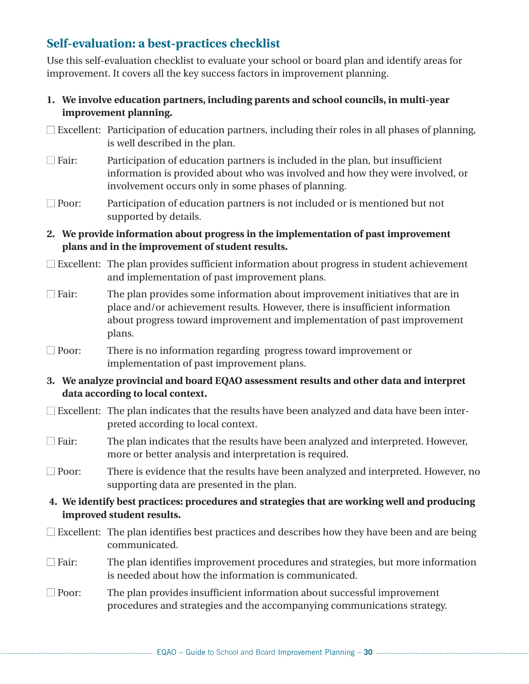# **Self-evaluation: a best-practices checklist**

Use this self-evaluation checklist to evaluate your school or board plan and identify areas for improvement. It covers all the key success factors in improvement planning.

- **1. We involve education partners, including parents and school councils, in multi-year improvement planning.**
- $\Box$  Excellent: Participation of education partners, including their roles in all phases of planning, is well described in the plan.
- $\Box$  Fair: Participation of education partners is included in the plan, but insufficient information is provided about who was involved and how they were involved, or involvement occurs only in some phases of planning.
- $\Box$  Poor: Participation of education partners is not included or is mentioned but not supported by details.
- **2. We provide information about progress in the implementation of past improvement plans and in the improvement of student results.**
- $\Box$  Excellent: The plan provides sufficient information about progress in student achievement and implementation of past improvement plans.
- $\Box$  Fair: The plan provides some information about improvement initiatives that are in place and/or achievement results. However, there is insufficient information about progress toward improvement and implementation of past improvement plans.
- $\Box$  Poor: There is no information regarding progress toward improvement or implementation of past improvement plans.
- **3. We analyze provincial and board EQAO assessment results and other data and interpret data according to local context.**
- $\Box$  Excellent: The plan indicates that the results have been analyzed and data have been interpreted according to local context.
- $\Box$  Fair: The plan indicates that the results have been analyzed and interpreted. However, more or better analysis and interpretation is required.
- $\Box$  Poor: There is evidence that the results have been analyzed and interpreted. However, no supporting data are presented in the plan.
- **4. We identify best practices: procedures and strategies that are working well and producing improved student results.**
- $\Box$  Excellent: The plan identifies best practices and describes how they have been and are being communicated.
- $\Box$  Fair: The plan identifies improvement procedures and strategies, but more information is needed about how the information is communicated.
- $\Box$  Poor: The plan provides insufficient information about successful improvement procedures and strategies and the accompanying communications strategy.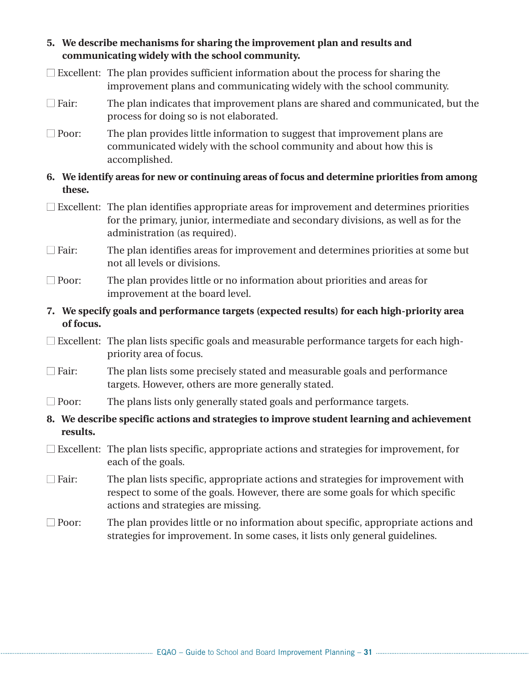- **5. We describe mechanisms for sharing the improvement plan and results and communicating widely with the school community.**
- $\Box$  Excellent: The plan provides sufficient information about the process for sharing the improvement plans and communicating widely with the school community.
- $\Box$  Fair: The plan indicates that improvement plans are shared and communicated, but the process for doing so is not elaborated.
- $\Box$  Poor: The plan provides little information to suggest that improvement plans are communicated widely with the school community and about how this is accomplished.
- **6. We identify areas for new or continuing areas of focus and determine priorities from among these.**
- $\square$  Excellent: The plan identifies appropriate areas for improvement and determines priorities for the primary, junior, intermediate and secondary divisions, as well as for the administration (as required).
- $\Box$  Fair: The plan identifies areas for improvement and determines priorities at some but not all levels or divisions.
- $\Box$  Poor: The plan provides little or no information about priorities and areas for improvement at the board level.
- **7. We specify goals and performance targets (expected results) for each high-priority area of focus.**
- $\Box$  Excellent: The plan lists specific goals and measurable performance targets for each highpriority area of focus.
- $\Box$  Fair: The plan lists some precisely stated and measurable goals and performance targets. However, others are more generally stated.
- $\Box$  Poor: The plans lists only generally stated goals and performance targets.
- **8. We describe specific actions and strategies to improve student learning and achievement results.**
- $\Box$  Excellent: The plan lists specific, appropriate actions and strategies for improvement, for each of the goals.
- $\Box$  Fair: The plan lists specific, appropriate actions and strategies for improvement with respect to some of the goals. However, there are some goals for which specific actions and strategies are missing.
- $\Box$  Poor: The plan provides little or no information about specific, appropriate actions and strategies for improvement. In some cases, it lists only general guidelines.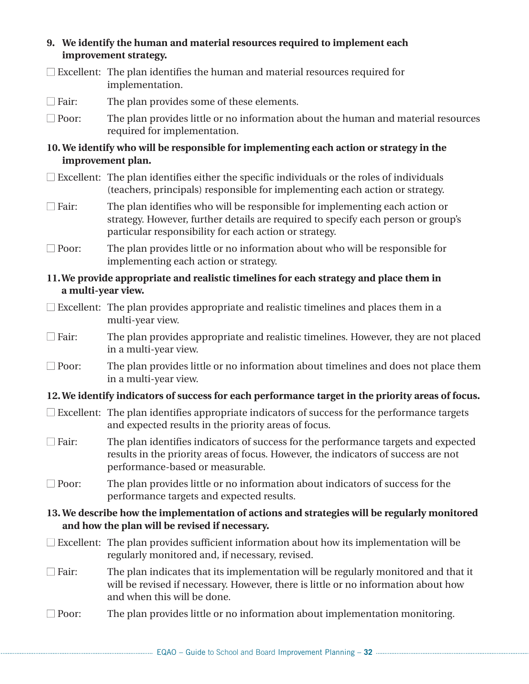#### **9. We identify the human and material resources required to implement each improvement strategy.**

- $\Box$  Excellent: The plan identifies the human and material resources required for implementation.
- $\Box$  Fair: The plan provides some of these elements.
- $\Box$  Poor: The plan provides little or no information about the human and material resources required for implementation.

#### **10. We identify who will be responsible for implementing each action or strategy in the improvement plan.**

- $\Box$  Excellent: The plan identifies either the specific individuals or the roles of individuals (teachers, principals) responsible for implementing each action or strategy.
- $\Box$  Fair: The plan identifies who will be responsible for implementing each action or strategy. However, further details are required to specify each person or group's particular responsibility for each action or strategy.
- $\Box$  Poor: The plan provides little or no information about who will be responsible for implementing each action or strategy.

#### **11.We provide appropriate and realistic timelines for each strategy and place them in a multi-year view.**

- $\square$  Excellent: The plan provides appropriate and realistic timelines and places them in a multi-year view.
- $\Box$  Fair: The plan provides appropriate and realistic timelines. However, they are not placed in a multi-year view.
- $\Box$  Poor: The plan provides little or no information about timelines and does not place them in a multi-year view.

#### **12. We identify indicators of success for each performance target in the priority areas of focus.**

- $\Box$  Excellent: The plan identifies appropriate indicators of success for the performance targets and expected results in the priority areas of focus.
- $\Box$  Fair: The plan identifies indicators of success for the performance targets and expected results in the priority areas of focus. However, the indicators of success are not performance-based or measurable.
- $\Box$  Poor: The plan provides little or no information about indicators of success for the performance targets and expected results.

#### **13. We describe how the implementation of actions and strategies will be regularly monitored and how the plan will be revised if necessary.**

- $\Box$  Excellent: The plan provides sufficient information about how its implementation will be regularly monitored and, if necessary, revised.
- $\Box$  Fair: The plan indicates that its implementation will be regularly monitored and that it will be revised if necessary. However, there is little or no information about how and when this will be done.
- $\Box$  Poor: The plan provides little or no information about implementation monitoring.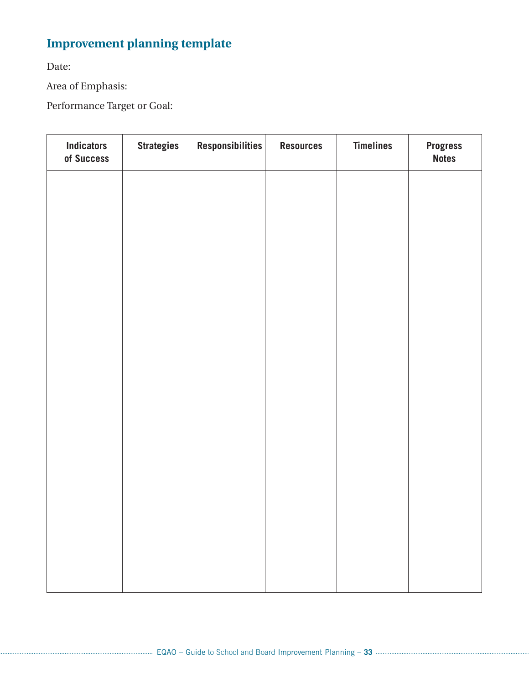# **Improvement planning template**

Date:

Area of Emphasis:

Performance Target or Goal:

| <b>Indicators</b><br>of Success | <b>Strategies</b> | Responsibilities | <b>Resources</b> | <b>Timelines</b> | <b>Progress</b><br><b>Notes</b> |
|---------------------------------|-------------------|------------------|------------------|------------------|---------------------------------|
|                                 |                   |                  |                  |                  |                                 |
|                                 |                   |                  |                  |                  |                                 |
|                                 |                   |                  |                  |                  |                                 |
|                                 |                   |                  |                  |                  |                                 |
|                                 |                   |                  |                  |                  |                                 |
|                                 |                   |                  |                  |                  |                                 |
|                                 |                   |                  |                  |                  |                                 |
|                                 |                   |                  |                  |                  |                                 |
|                                 |                   |                  |                  |                  |                                 |
|                                 |                   |                  |                  |                  |                                 |
|                                 |                   |                  |                  |                  |                                 |
|                                 |                   |                  |                  |                  |                                 |